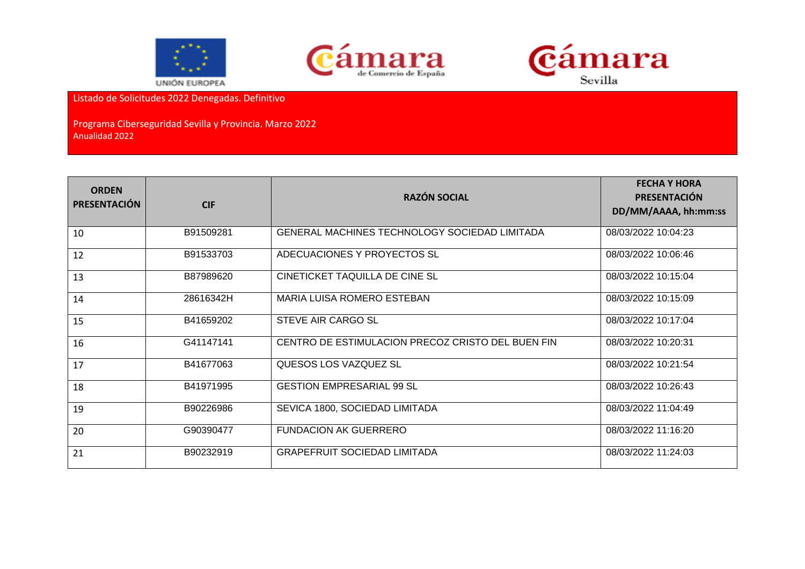





Listado de Solicitudes 2022 Denegadas. Definitivo

Programa Ciberseguridad Sevilla y Provincia. Marzo 2022 Anualidad 2022

| <b>ORDEN</b><br><b>PRESENTACIÓN</b> | <b>CIF</b> | <b>RAZÓN SOCIAL</b>                                  | <b>FECHA Y HORA</b><br><b>PRESENTACIÓN</b><br>DD/MM/AAAA, hh:mm:ss |
|-------------------------------------|------------|------------------------------------------------------|--------------------------------------------------------------------|
| 10                                  | B91509281  | <b>GENERAL MACHINES TECHNOLOGY SOCIEDAD LIMITADA</b> | 08/03/2022 10:04:23                                                |
| 12                                  | B91533703  | ADECUACIONES Y PROYECTOS SL                          | 08/03/2022 10:06:46                                                |
| 13                                  | B87989620  | CINETICKET TAQUILLA DE CINE SL                       | 08/03/2022 10:15:04                                                |
| 14                                  | 28616342H  | MARIA LUISA ROMERO ESTEBAN                           | 08/03/2022 10:15:09                                                |
| 15                                  | B41659202  | STEVE AIR CARGO SL                                   | 08/03/2022 10:17:04                                                |
| 16                                  | G41147141  | CENTRO DE ESTIMULACION PRECOZ CRISTO DEL BUEN FIN    | 08/03/2022 10:20:31                                                |
| 17                                  | B41677063  | QUESOS LOS VAZQUEZ SL                                | 08/03/2022 10:21:54                                                |
| 18                                  | B41971995  | <b>GESTION EMPRESARIAL 99 SL</b>                     | 08/03/2022 10:26:43                                                |
| 19                                  | B90226986  | SEVICA 1800, SOCIEDAD LIMITADA                       | 08/03/2022 11:04:49                                                |
| 20                                  | G90390477  | <b>FUNDACION AK GUERRERO</b>                         | 08/03/2022 11:16:20                                                |
| 21                                  | B90232919  | <b>GRAPEFRUIT SOCIEDAD LIMITADA</b>                  | 08/03/2022 11:24:03                                                |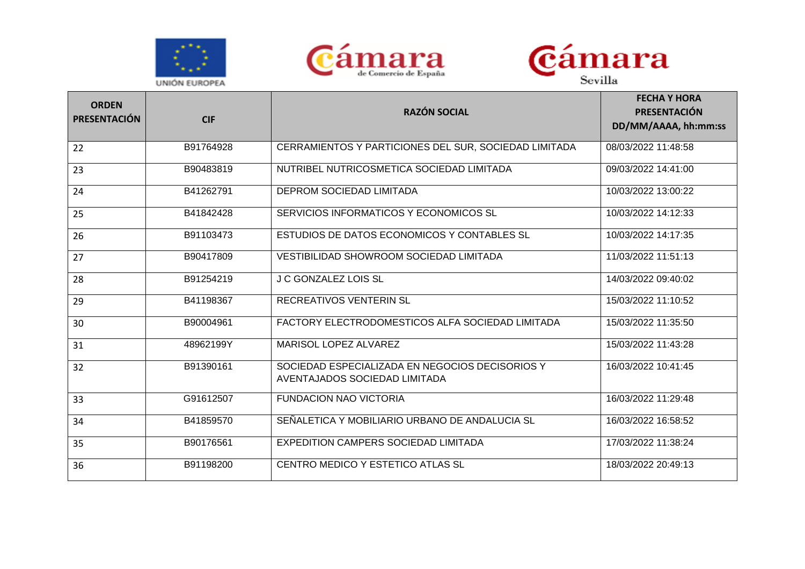





| <b>ORDEN</b><br><b>PRESENTACIÓN</b> | <b>CIF</b> | <b>RAZÓN SOCIAL</b>                                                              | <b>FECHA Y HORA</b><br><b>PRESENTACIÓN</b><br>DD/MM/AAAA, hh:mm:ss |
|-------------------------------------|------------|----------------------------------------------------------------------------------|--------------------------------------------------------------------|
| 22                                  | B91764928  | CERRAMIENTOS Y PARTICIONES DEL SUR, SOCIEDAD LIMITADA                            | 08/03/2022 11:48:58                                                |
| 23                                  | B90483819  | NUTRIBEL NUTRICOSMETICA SOCIEDAD LIMITADA                                        | 09/03/2022 14:41:00                                                |
| 24                                  | B41262791  | DEPROM SOCIEDAD LIMITADA                                                         | 10/03/2022 13:00:22                                                |
| 25                                  | B41842428  | SERVICIOS INFORMATICOS Y ECONOMICOS SL                                           | 10/03/2022 14:12:33                                                |
| 26                                  | B91103473  | ESTUDIOS DE DATOS ECONOMICOS Y CONTABLES SL                                      | 10/03/2022 14:17:35                                                |
| 27                                  | B90417809  | VESTIBILIDAD SHOWROOM SOCIEDAD LIMITADA                                          | 11/03/2022 11:51:13                                                |
| 28                                  | B91254219  | <b>J C GONZALEZ LOIS SL</b>                                                      | 14/03/2022 09:40:02                                                |
| 29                                  | B41198367  | <b>RECREATIVOS VENTERIN SL</b>                                                   | 15/03/2022 11:10:52                                                |
| 30                                  | B90004961  | FACTORY ELECTRODOMESTICOS ALFA SOCIEDAD LIMITADA                                 | 15/03/2022 11:35:50                                                |
| 31                                  | 48962199Y  | MARISOL LOPEZ ALVAREZ                                                            | 15/03/2022 11:43:28                                                |
| 32                                  | B91390161  | SOCIEDAD ESPECIALIZADA EN NEGOCIOS DECISORIOS Y<br>AVENTAJADOS SOCIEDAD LIMITADA | 16/03/2022 10:41:45                                                |
| 33                                  | G91612507  | <b>FUNDACION NAO VICTORIA</b>                                                    | 16/03/2022 11:29:48                                                |
| 34                                  | B41859570  | SEÑALETICA Y MOBILIARIO URBANO DE ANDALUCIA SL                                   | 16/03/2022 16:58:52                                                |
| 35                                  | B90176561  | <b>EXPEDITION CAMPERS SOCIEDAD LIMITADA</b>                                      | 17/03/2022 11:38:24                                                |
| 36                                  | B91198200  | CENTRO MEDICO Y ESTETICO ATLAS SL                                                | 18/03/2022 20:49:13                                                |